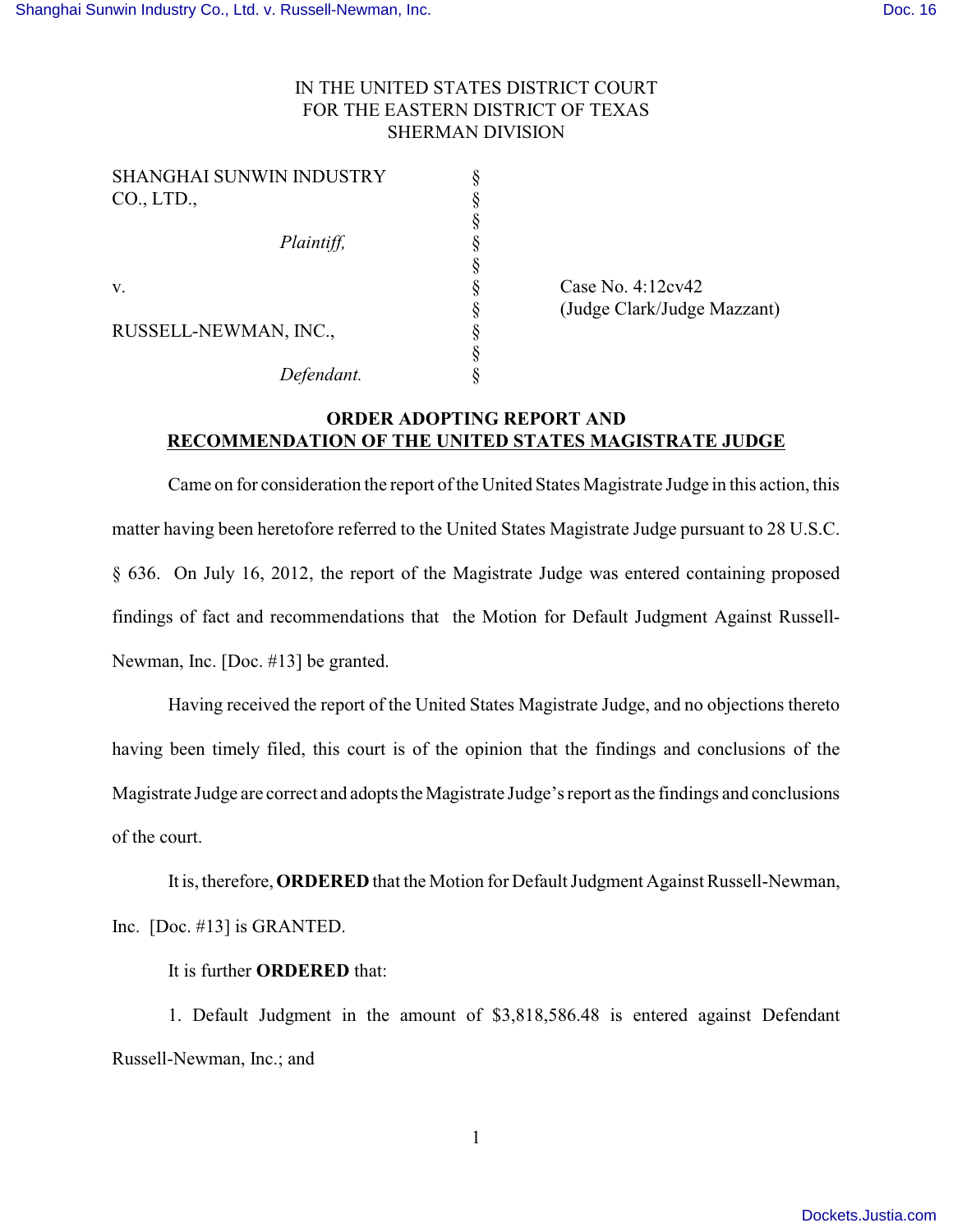## IN THE UNITED STATES DISTRICT COURT FOR THE EASTERN DISTRICT OF TEXAS SHERMAN DIVISION

| SHANGHAI SUNWIN INDUSTRY |  |
|--------------------------|--|
| CO., LTD.,               |  |
|                          |  |
| Plaintiff,               |  |
|                          |  |
| v.                       |  |
|                          |  |
| RUSSELL-NEWMAN, INC.,    |  |
|                          |  |
| Defendant.               |  |

 $\S$  Case No. 4:12cv42 § (Judge Clark/Judge Mazzant)

## **ORDER ADOPTING REPORT AND RECOMMENDATION OF THE UNITED STATES MAGISTRATE JUDGE**

Came on for consideration the report of the United States Magistrate Judge in this action, this matter having been heretofore referred to the United States Magistrate Judge pursuant to 28 U.S.C. § 636. On July 16, 2012, the report of the Magistrate Judge was entered containing proposed findings of fact and recommendations that the Motion for Default Judgment Against Russell-Newman, Inc. [Doc. #13] be granted.

Having received the report of the United States Magistrate Judge, and no objections thereto having been timely filed, this court is of the opinion that the findings and conclusions of the Magistrate Judge are correct and adopts the Magistrate Judge's report as the findings and conclusions of the court.

It is, therefore, **ORDERED** that the Motion for Default Judgment Against Russell-Newman, Inc. [Doc. #13] is GRANTED.

It is further **ORDERED** that:

1. Default Judgment in the amount of \$3,818,586.48 is entered against Defendant Russell-Newman, Inc.; and

1